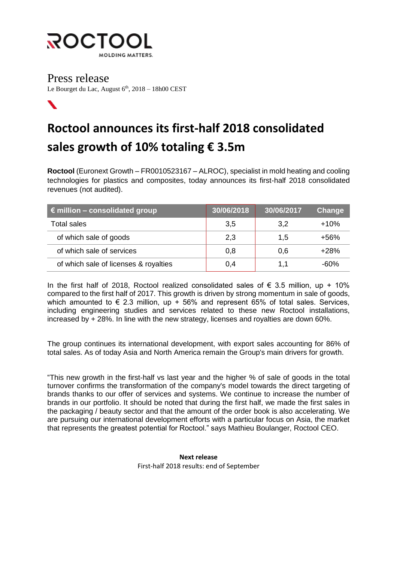

ヽ

Press release Le Bourget du Lac, August 6<sup>th</sup>, 2018 – 18h00 CEST

## **Roctool announces its first-half 2018 consolidated sales growth of 10% totaling € 3.5m**

**Roctool** (Euronext Growth – FR0010523167 – ALROC), specialist in mold heating and cooling technologies for plastics and composites, today announces its first-half 2018 consolidated revenues (not audited).

| $\epsilon$ million – consolidated group | 30/06/2018 | 30/06/2017 | Change |
|-----------------------------------------|------------|------------|--------|
| <b>Total sales</b>                      | 3,5        | 3,2        | $+10%$ |
| of which sale of goods                  | 2,3        | 1.5        | +56%   |
| of which sale of services               | 0,8        | 0,6        | $+28%$ |
| of which sale of licenses & royalties   | 0.4        | 1.1        | -60%   |

In the first half of 2018, Roctool realized consolidated sales of  $\epsilon$  3.5 million, up + 10% compared to the first half of 2017. This growth is driven by strong momentum in sale of goods, which amounted to  $\epsilon$  2.3 million, up + 56% and represent 65% of total sales. Services, including engineering studies and services related to these new Roctool installations, increased by + 28%. In line with the new strategy, licenses and royalties are down 60%.

The group continues its international development, with export sales accounting for 86% of total sales. As of today Asia and North America remain the Group's main drivers for growth.

"This new growth in the first-half vs last year and the higher % of sale of goods in the total turnover confirms the transformation of the company's model towards the direct targeting of brands thanks to our offer of services and systems. We continue to increase the number of brands in our portfolio. It should be noted that during the first half, we made the first sales in the packaging / beauty sector and that the amount of the order book is also accelerating. We are pursuing our international development efforts with a particular focus on Asia, the market that represents the greatest potential for Roctool." says Mathieu Boulanger, Roctool CEO.

> **Next release** First-half 2018 results: end of September